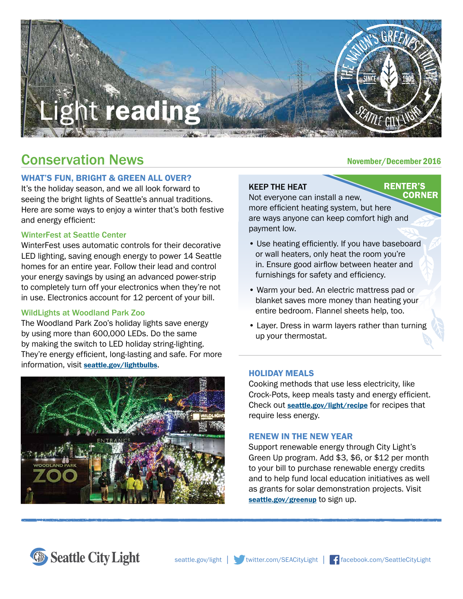

# Conservation News

# WHAT'S FUN, BRIGHT & GREEN ALL OVER?

It's the holiday season, and we all look forward to seeing the bright lights of Seattle's annual traditions. Here are some ways to enjoy a winter that's both festive and energy efficient:

## WinterFest at Seattle Center

WinterFest uses automatic controls for their decorative LED lighting, saving enough energy to power 14 Seattle homes for an entire year. Follow their lead and control your energy savings by using an advanced power-strip to completely turn off your electronics when they're not in use. Electronics account for 12 percent of your bill.

#### WildLights at Woodland Park Zoo

The Woodland Park Zoo's holiday lights save energy by using more than 600,000 LEDs. Do the same by making the switch to LED holiday string-lighting. They're energy efficient, long-lasting and safe. For more information, visit [seattle.gov/lightbulbs](http://www.seattle.gov/lightbulbs).



## November/December 2016

## KEEP THE HEAT

#### **RENTER'S CORNER**

Not everyone can install a new, more efficient heating system, but here are ways anyone can keep comfort high and payment low.

- Use heating efficiently. If you have baseboard or wall heaters, only heat the room you're in. Ensure good airflow between heater and furnishings for safety and efficiency.
- Warm your bed. An electric mattress pad or blanket saves more money than heating your entire bedroom. Flannel sheets help, too.
- Layer. Dress in warm layers rather than turning up your thermostat.

#### HOLIDAY MEALS

Cooking methods that use less electricity, like Crock-Pots, keep meals tasty and energy efficient. Check out **[seattle.gov/light/recipe](http://www.seattle.gov/light/recipe)** for recipes that require less energy.

#### RENEW IN THE NEW YEAR

Support renewable energy through City Light's Green Up program. Add \$3, \$6, or \$12 per month to your bill to purchase renewable energy credits and to help fund local education initiatives as well as grants for solar demonstration projects. Visit [seattle.gov/greenup](http://www.seattle.gov/greenup) to sign up.